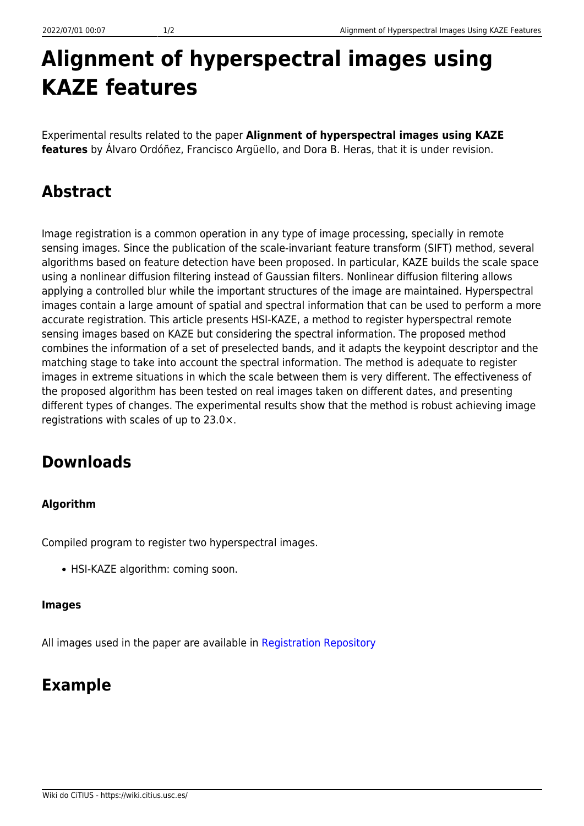# **Alignment of hyperspectral images using KAZE features**

Experimental results related to the paper **Alignment of hyperspectral images using KAZE features** by Álvaro Ordóñez, Francisco Argüello, and Dora B. Heras, that it is under revision.

## **Abstract**

Image registration is a common operation in any type of image processing, specially in remote sensing images. Since the publication of the scale-invariant feature transform (SIFT) method, several algorithms based on feature detection have been proposed. In particular, KAZE builds the scale space using a nonlinear diffusion filtering instead of Gaussian filters. Nonlinear diffusion filtering allows applying a controlled blur while the important structures of the image are maintained. Hyperspectral images contain a large amount of spatial and spectral information that can be used to perform a more accurate registration. This article presents HSI-KAZE, a method to register hyperspectral remote sensing images based on KAZE but considering the spectral information. The proposed method combines the information of a set of preselected bands, and it adapts the keypoint descriptor and the matching stage to take into account the spectral information. The method is adequate to register images in extreme situations in which the scale between them is very different. The effectiveness of the proposed algorithm has been tested on real images taken on different dates, and presenting different types of changes. The experimental results show that the method is robust achieving image registrations with scales of up to 23.0×.

### **Downloads**

#### **Algorithm**

Compiled program to register two hyperspectral images.

• HSI-KAZE algorithm: coming soon.

#### **Images**

All images used in the paper are available in [Registration Repository](https://gitlab.citius.usc.es/hiperespectral/RegistrationRepository)

### **Example**